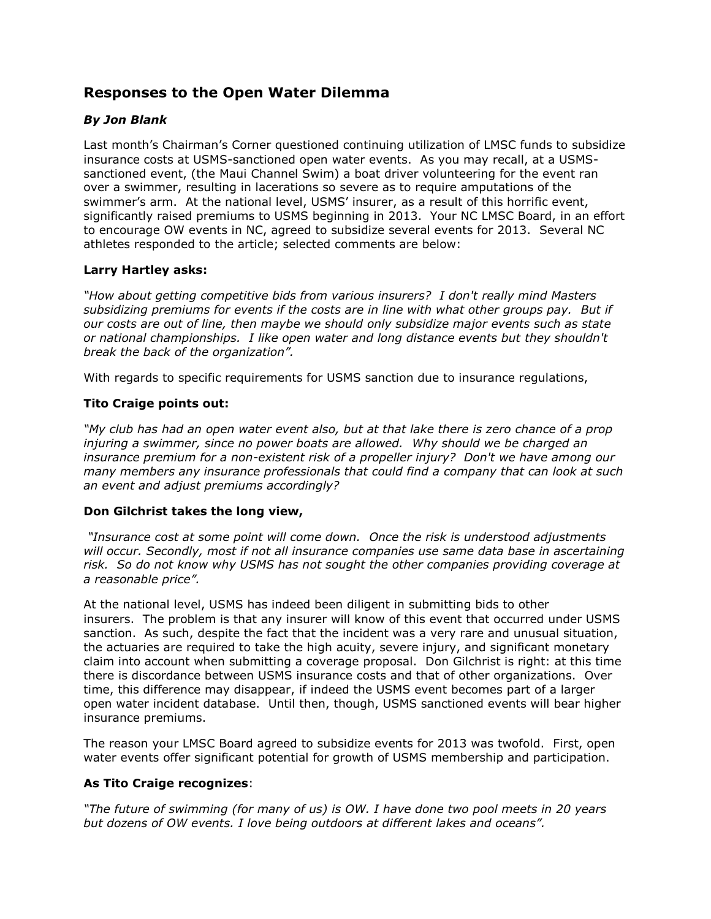# **Responses to the Open Water Dilemma**

# *By Jon Blank*

Last month's Chairman's Corner questioned continuing utilization of LMSC funds to subsidize insurance costs at USMS-sanctioned open water events. As you may recall, at a USMSsanctioned event, (the Maui Channel Swim) a boat driver volunteering for the event ran over a swimmer, resulting in lacerations so severe as to require amputations of the swimmer's arm. At the national level, USMS' insurer, as a result of this horrific event, significantly raised premiums to USMS beginning in 2013. Your NC LMSC Board, in an effort to encourage OW events in NC, agreed to subsidize several events for 2013. Several NC athletes responded to the article; selected comments are below:

### **Larry Hartley asks:**

*"How about getting competitive bids from various insurers? I don't really mind Masters subsidizing premiums for events if the costs are in line with what other groups pay. But if our costs are out of line, then maybe we should only subsidize major events such as state or national championships. I like open water and long distance events but they shouldn't break the back of the organization".*

With regards to specific requirements for USMS sanction due to insurance regulations,

## **Tito Craige points out:**

*"My club has had an open water event also, but at that lake there is zero chance of a prop injuring a swimmer, since no power boats are allowed. Why should we be charged an insurance premium for a non-existent risk of a propeller injury? Don't we have among our many members any insurance professionals that could find a company that can look at such an event and adjust premiums accordingly?*

### **Don Gilchrist takes the long view,**

*"Insurance cost at some point will come down. Once the risk is understood adjustments will occur. Secondly, most if not all insurance companies use same data base in ascertaining risk. So do not know why USMS has not sought the other companies providing coverage at a reasonable price".* 

At the national level, USMS has indeed been diligent in submitting bids to other insurers. The problem is that any insurer will know of this event that occurred under USMS sanction. As such, despite the fact that the incident was a very rare and unusual situation, the actuaries are required to take the high acuity, severe injury, and significant monetary claim into account when submitting a coverage proposal. Don Gilchrist is right: at this time there is discordance between USMS insurance costs and that of other organizations. Over time, this difference may disappear, if indeed the USMS event becomes part of a larger open water incident database. Until then, though, USMS sanctioned events will bear higher insurance premiums.

The reason your LMSC Board agreed to subsidize events for 2013 was twofold. First, open water events offer significant potential for growth of USMS membership and participation.

### **As Tito Craige recognizes**:

*"The future of swimming (for many of us) is OW. I have done two pool meets in 20 years but dozens of OW events. I love being outdoors at different lakes and oceans".*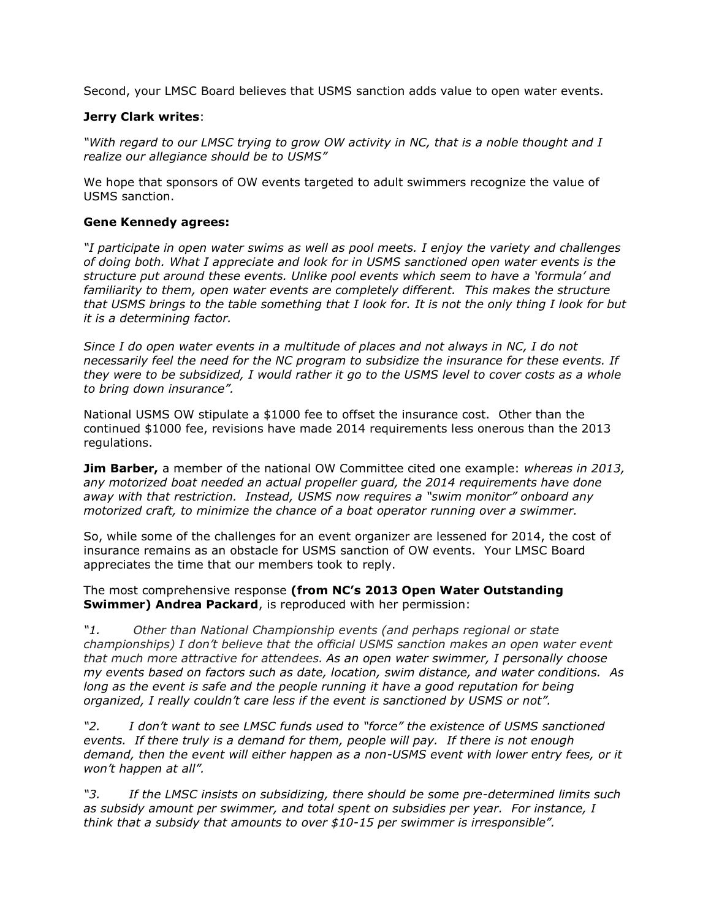Second, your LMSC Board believes that USMS sanction adds value to open water events.

#### **Jerry Clark writes**:

*"With regard to our LMSC trying to grow OW activity in NC, that is a noble thought and I realize our allegiance should be to USMS"*

We hope that sponsors of OW events targeted to adult swimmers recognize the value of USMS sanction.

#### **Gene Kennedy agrees:**

*"I participate in open water swims as well as pool meets. I enjoy the variety and challenges of doing both. What I appreciate and look for in USMS sanctioned open water events is the structure put around these events. Unlike pool events which seem to have a 'formula' and familiarity to them, open water events are completely different. This makes the structure that USMS brings to the table something that I look for. It is not the only thing I look for but it is a determining factor.*

*Since I do open water events in a multitude of places and not always in NC, I do not necessarily feel the need for the NC program to subsidize the insurance for these events. If they were to be subsidized, I would rather it go to the USMS level to cover costs as a whole to bring down insurance".*

National USMS OW stipulate a \$1000 fee to offset the insurance cost. Other than the continued \$1000 fee, revisions have made 2014 requirements less onerous than the 2013 regulations.

**Jim Barber,** a member of the national OW Committee cited one example: *whereas in 2013, any motorized boat needed an actual propeller guard, the 2014 requirements have done away with that restriction. Instead, USMS now requires a "swim monitor" onboard any motorized craft, to minimize the chance of a boat operator running over a swimmer.*

So, while some of the challenges for an event organizer are lessened for 2014, the cost of insurance remains as an obstacle for USMS sanction of OW events. Your LMSC Board appreciates the time that our members took to reply.

The most comprehensive response **(from NC's 2013 Open Water Outstanding Swimmer) Andrea Packard**, is reproduced with her permission:

*"1. Other than National Championship events (and perhaps regional or state championships) I don't believe that the official USMS sanction makes an open water event that much more attractive for attendees. As an open water swimmer, I personally choose my events based on factors such as date, location, swim distance, and water conditions. As long as the event is safe and the people running it have a good reputation for being organized, I really couldn't care less if the event is sanctioned by USMS or not".*

*"2. I don't want to see LMSC funds used to "force" the existence of USMS sanctioned events. If there truly is a demand for them, people will pay. If there is not enough demand, then the event will either happen as a non-USMS event with lower entry fees, or it won't happen at all".*

*"3. If the LMSC insists on subsidizing, there should be some pre-determined limits such as subsidy amount per swimmer, and total spent on subsidies per year. For instance, I think that a subsidy that amounts to over \$10-15 per swimmer is irresponsible".*